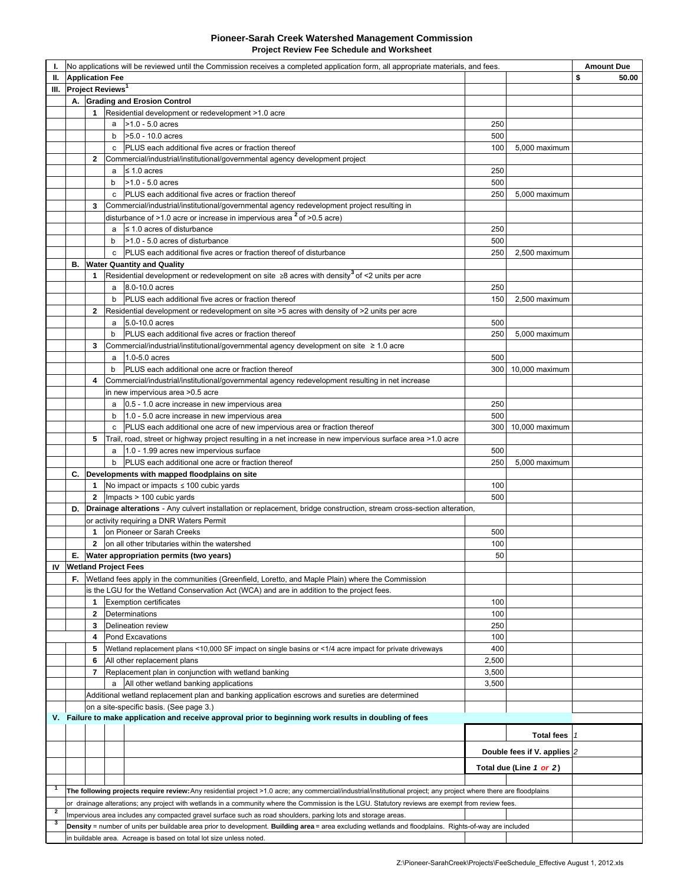#### **Pioneer-Sarah Creek Watershed Management Commission Project Review Fee Schedule and Worksheet**

| ı.             | No applications will be reviewed until the Commission receives a completed application form, all appropriate materials, and fees.                                                                                                                                  |                        |                                                                                                                                                        |       |                             | <b>Amount Due</b> |
|----------------|--------------------------------------------------------------------------------------------------------------------------------------------------------------------------------------------------------------------------------------------------------------------|------------------------|--------------------------------------------------------------------------------------------------------------------------------------------------------|-------|-----------------------------|-------------------|
| Ш.             |                                                                                                                                                                                                                                                                    | <b>Application Fee</b> |                                                                                                                                                        |       |                             | \$<br>50.00       |
| Ш.             | Project Reviews <sup>1</sup>                                                                                                                                                                                                                                       |                        |                                                                                                                                                        |       |                             |                   |
|                | А.                                                                                                                                                                                                                                                                 |                        | <b>Grading and Erosion Control</b>                                                                                                                     |       |                             |                   |
|                |                                                                                                                                                                                                                                                                    | $\mathbf{1}$           | Residential development or redevelopment >1.0 acre                                                                                                     |       |                             |                   |
|                |                                                                                                                                                                                                                                                                    |                        | $>1.0 - 5.0$ acres<br>a                                                                                                                                | 250   |                             |                   |
|                |                                                                                                                                                                                                                                                                    |                        | >5.0 - 10.0 acres<br>b                                                                                                                                 | 500   |                             |                   |
|                |                                                                                                                                                                                                                                                                    |                        | PLUS each additional five acres or fraction thereof<br>c                                                                                               | 100   | 5,000 maximum               |                   |
|                |                                                                                                                                                                                                                                                                    | $\mathbf{2}$           | Commercial/industrial/institutional/governmental agency development project                                                                            |       |                             |                   |
|                |                                                                                                                                                                                                                                                                    |                        | $\leq 1.0$ acres<br>a                                                                                                                                  | 250   |                             |                   |
|                |                                                                                                                                                                                                                                                                    |                        | $>1.0 - 5.0$ acres<br>b                                                                                                                                | 500   |                             |                   |
|                |                                                                                                                                                                                                                                                                    |                        | <b>PLUS</b> each additional five acres or fraction thereof<br>c                                                                                        | 250   | 5,000 maximum               |                   |
|                |                                                                                                                                                                                                                                                                    | 3                      | Commercial/industrial/institutional/governmental agency redevelopment project resulting in                                                             |       |                             |                   |
|                |                                                                                                                                                                                                                                                                    |                        | disturbance of >1.0 acre or increase in impervious area $2$ of >0.5 acre)                                                                              |       |                             |                   |
|                |                                                                                                                                                                                                                                                                    |                        | $\leq$ 1.0 acres of disturbance<br>a                                                                                                                   | 250   |                             |                   |
|                |                                                                                                                                                                                                                                                                    |                        | >1.0 - 5.0 acres of disturbance<br>b                                                                                                                   | 500   |                             |                   |
|                |                                                                                                                                                                                                                                                                    |                        | PLUS each additional five acres or fraction thereof of disturbance<br>c                                                                                | 250   | 2,500 maximum               |                   |
|                | в.                                                                                                                                                                                                                                                                 |                        | <b>Water Quantity and Quality</b>                                                                                                                      |       |                             |                   |
|                |                                                                                                                                                                                                                                                                    | 1                      | Residential development or redevelopment on site $\geq 8$ acres with density <sup>3</sup> of <2 units per acre                                         |       |                             |                   |
|                |                                                                                                                                                                                                                                                                    |                        | a 8.0-10.0 acres                                                                                                                                       | 250   |                             |                   |
|                |                                                                                                                                                                                                                                                                    |                        | PLUS each additional five acres or fraction thereof<br>b                                                                                               | 150   | 2,500 maximum               |                   |
|                |                                                                                                                                                                                                                                                                    | 2                      | Residential development or redevelopment on site >5 acres with density of >2 units per acre                                                            |       |                             |                   |
|                |                                                                                                                                                                                                                                                                    |                        | 5.0-10.0 acres<br>a                                                                                                                                    | 500   |                             |                   |
|                |                                                                                                                                                                                                                                                                    |                        | PLUS each additional five acres or fraction thereof<br>b                                                                                               | 250   | 5,000 maximum               |                   |
|                |                                                                                                                                                                                                                                                                    | 3                      | Commercial/industrial/institutional/governmental agency development on site $\geq 1.0$ acre                                                            |       |                             |                   |
|                |                                                                                                                                                                                                                                                                    |                        | 1.0-5.0 acres<br>a                                                                                                                                     | 500   |                             |                   |
|                |                                                                                                                                                                                                                                                                    |                        | PLUS each additional one acre or fraction thereof<br>b                                                                                                 | 300   | 10,000 maximum              |                   |
|                |                                                                                                                                                                                                                                                                    | 4                      | Commercial/industrial/institutional/governmental agency redevelopment resulting in net increase                                                        |       |                             |                   |
|                |                                                                                                                                                                                                                                                                    |                        | in new impervious area >0.5 acre                                                                                                                       |       |                             |                   |
|                |                                                                                                                                                                                                                                                                    |                        | 0.5 - 1.0 acre increase in new impervious area<br>a                                                                                                    | 250   |                             |                   |
|                |                                                                                                                                                                                                                                                                    |                        | 1.0 - 5.0 acre increase in new impervious area<br>b                                                                                                    | 500   |                             |                   |
|                |                                                                                                                                                                                                                                                                    |                        | PLUS each additional one acre of new impervious area or fraction thereof<br>c                                                                          | 300   | 10,000 maximum              |                   |
|                |                                                                                                                                                                                                                                                                    | 5                      | Trail, road, street or highway project resulting in a net increase in new impervious surface area >1.0 acre                                            |       |                             |                   |
|                |                                                                                                                                                                                                                                                                    |                        | 1.0 - 1.99 acres new impervious surface<br>a                                                                                                           | 500   |                             |                   |
|                |                                                                                                                                                                                                                                                                    |                        | PLUS each additional one acre or fraction thereof<br>b                                                                                                 | 250   | 5,000 maximum               |                   |
|                | C.                                                                                                                                                                                                                                                                 |                        | Developments with mapped floodplains on site                                                                                                           |       |                             |                   |
|                |                                                                                                                                                                                                                                                                    |                        | 1 No impact or impacts $\leq$ 100 cubic yards                                                                                                          | 100   |                             |                   |
|                |                                                                                                                                                                                                                                                                    |                        | 2   Impacts $> 100$ cubic yards                                                                                                                        | 500   |                             |                   |
|                | D.                                                                                                                                                                                                                                                                 |                        | Drainage alterations - Any culvert installation or replacement, bridge construction, stream cross-section alteration,                                  |       |                             |                   |
|                | or activity requiring a DNR Waters Permit                                                                                                                                                                                                                          |                        |                                                                                                                                                        |       |                             |                   |
|                |                                                                                                                                                                                                                                                                    | $\mathbf{1}$           | on Pioneer or Sarah Creeks                                                                                                                             | 500   |                             |                   |
|                |                                                                                                                                                                                                                                                                    | $\mathbf{2}$           | on all other tributaries within the watershed                                                                                                          | 100   |                             |                   |
|                | Е.                                                                                                                                                                                                                                                                 |                        | Water appropriation permits (two years)                                                                                                                | 50    |                             |                   |
|                | <b>IV</b> Wetland Project Fees                                                                                                                                                                                                                                     |                        |                                                                                                                                                        |       |                             |                   |
|                | F.                                                                                                                                                                                                                                                                 |                        | Wetland fees apply in the communities (Greenfield, Loretto, and Maple Plain) where the Commission                                                      |       |                             |                   |
|                |                                                                                                                                                                                                                                                                    |                        | is the LGU for the Wetland Conservation Act (WCA) and are in addition to the project fees.                                                             |       |                             |                   |
|                |                                                                                                                                                                                                                                                                    | 1.                     | <b>Exemption certificates</b>                                                                                                                          | 100   |                             |                   |
|                |                                                                                                                                                                                                                                                                    | 2                      | Determinations                                                                                                                                         | 100   |                             |                   |
|                |                                                                                                                                                                                                                                                                    | 3                      | <b>Delineation review</b>                                                                                                                              | 250   |                             |                   |
|                |                                                                                                                                                                                                                                                                    | 4                      | Pond Excavations                                                                                                                                       | 100   |                             |                   |
|                |                                                                                                                                                                                                                                                                    | 5                      | Wetland replacement plans <10,000 SF impact on single basins or <1/4 acre impact for private driveways                                                 | 400   |                             |                   |
|                |                                                                                                                                                                                                                                                                    | 6                      | All other replacement plans                                                                                                                            | 2,500 |                             |                   |
|                |                                                                                                                                                                                                                                                                    | 7                      | Replacement plan in conjunction with wetland banking                                                                                                   | 3,500 |                             |                   |
|                |                                                                                                                                                                                                                                                                    |                        | All other wetland banking applications<br>a                                                                                                            | 3,500 |                             |                   |
|                |                                                                                                                                                                                                                                                                    |                        | Additional wetland replacement plan and banking application escrows and sureties are determined                                                        |       |                             |                   |
|                |                                                                                                                                                                                                                                                                    |                        | on a site-specific basis. (See page 3.)                                                                                                                |       |                             |                   |
|                |                                                                                                                                                                                                                                                                    |                        | V. Failure to make application and receive approval prior to beginning work results in doubling of fees                                                |       |                             |                   |
|                |                                                                                                                                                                                                                                                                    |                        |                                                                                                                                                        |       |                             |                   |
|                |                                                                                                                                                                                                                                                                    |                        |                                                                                                                                                        |       | Total fees                  |                   |
|                |                                                                                                                                                                                                                                                                    |                        |                                                                                                                                                        |       | Double fees if V. applies 2 |                   |
|                |                                                                                                                                                                                                                                                                    |                        |                                                                                                                                                        |       |                             |                   |
|                |                                                                                                                                                                                                                                                                    |                        |                                                                                                                                                        |       | Total due (Line 1 or 2)     |                   |
| $\mathbf{1}$   | The following projects require review: Any residential project >1.0 acre; any commercial/industrial/institutional project; any project where there are floodplains                                                                                                 |                        |                                                                                                                                                        |       |                             |                   |
|                |                                                                                                                                                                                                                                                                    |                        |                                                                                                                                                        |       |                             |                   |
| $\overline{2}$ | or drainage alterations; any project with wetlands in a community where the Commission is the LGU. Statutory reviews are exempt from review fees.<br>Impervious area includes any compacted gravel surface such as road shoulders, parking lots and storage areas. |                        |                                                                                                                                                        |       |                             |                   |
| 3              |                                                                                                                                                                                                                                                                    |                        | Density = number of units per buildable area prior to development. Building area = area excluding wetlands and floodplains. Rights-of-way are included |       |                             |                   |
|                |                                                                                                                                                                                                                                                                    |                        | in buildable area. Acreage is based on total lot size unless noted.                                                                                    |       |                             |                   |
|                |                                                                                                                                                                                                                                                                    |                        |                                                                                                                                                        |       |                             |                   |